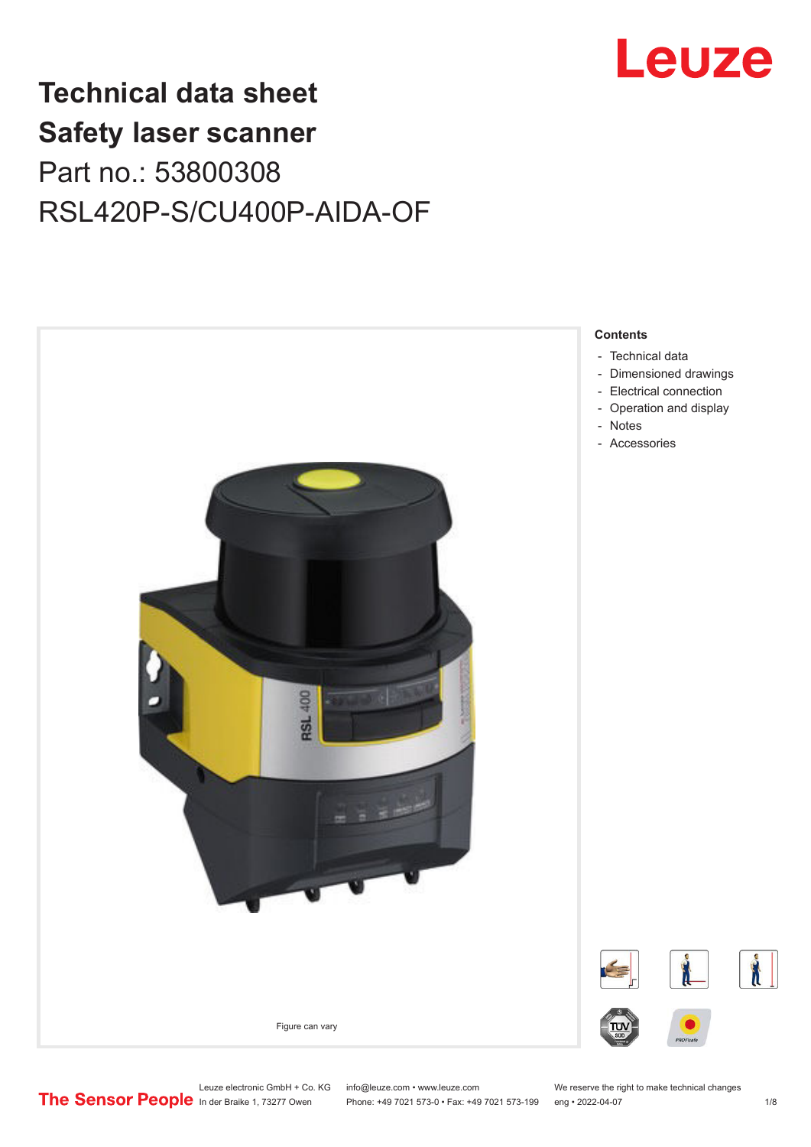

# **Technical data sheet Safety laser scanner** Part no.: 53800308 RSL420P-S/CU400P-AIDA-OF



Leuze electronic GmbH + Co. KG info@leuze.com • www.leuze.com We reserve the right to make technical changes<br>
The Sensor People in der Braike 1, 73277 Owen Phone: +49 7021 573-0 • Fax: +49 7021 573-199 eng • 2022-04-07

Phone: +49 7021 573-0 • Fax: +49 7021 573-199 eng • 2022-04-07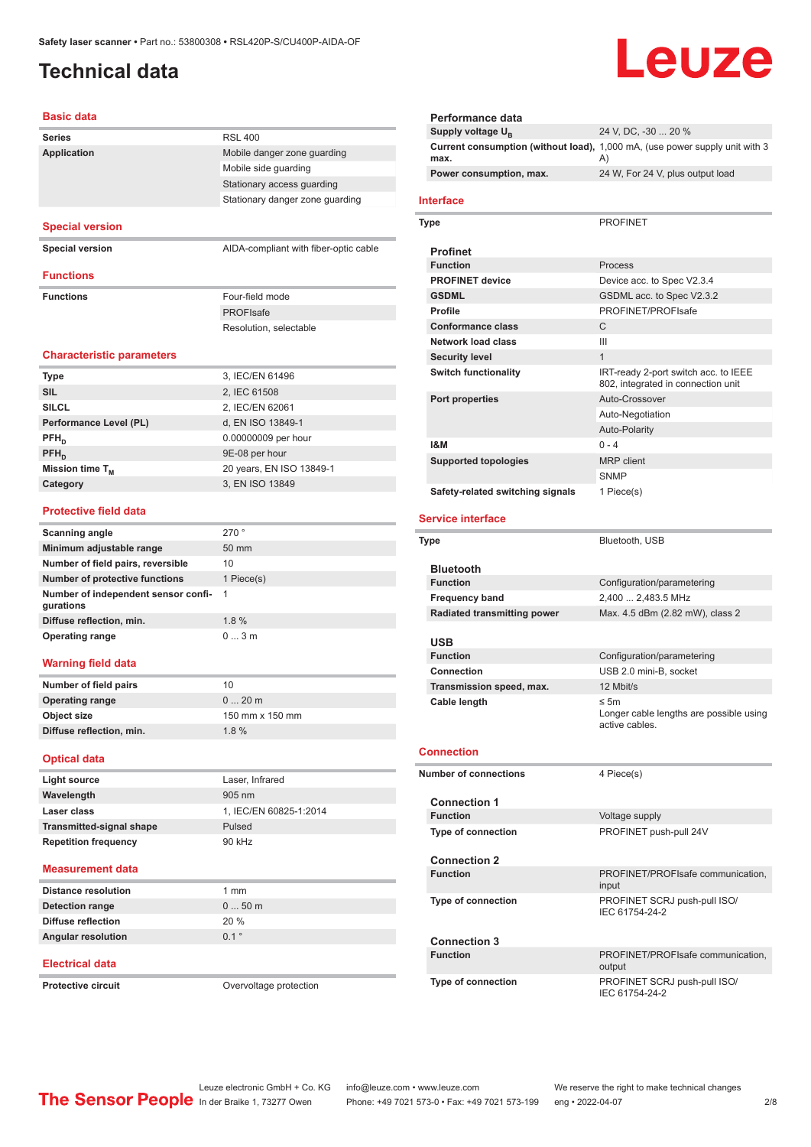# <span id="page-1-0"></span>**Technical data**

# Leuze

### **Basic data**

| Daəlu uata                       |                                           |
|----------------------------------|-------------------------------------------|
| <b>Series</b>                    | <b>RSL 400</b>                            |
| <b>Application</b>               | Mobile danger zone quarding               |
|                                  | Mobile side guarding                      |
|                                  | Stationary access guarding                |
|                                  | Stationary danger zone guarding           |
|                                  |                                           |
| <b>Special version</b>           |                                           |
| <b>Special version</b>           | AIDA-compliant with fiber-optic cable     |
| <b>Functions</b>                 |                                           |
| <b>Functions</b>                 | Four-field mode                           |
|                                  | <b>PROFIsafe</b>                          |
|                                  | Resolution, selectable                    |
|                                  |                                           |
| <b>Characteristic parameters</b> |                                           |
| Type                             | 3, IEC/EN 61496                           |
| $\sim$                           | $\sim$ $\sim$ $\sim$ $\sim$ $\sim$ $\sim$ |

| <b>SIL</b>             | 2, IEC 61508             |
|------------------------|--------------------------|
| <b>SILCL</b>           | 2, IEC/EN 62061          |
| Performance Level (PL) | d, EN ISO 13849-1        |
| $PFH_n$                | 0.00000009 per hour      |
| $PFH_n$                | 9E-08 per hour           |
| Mission time $T_{M}$   | 20 years, EN ISO 13849-1 |
| Category               | 3, EN ISO 13849          |

### **Protective field data**

| 270°            |
|-----------------|
| $50 \text{ mm}$ |
| 10              |
| 1 Piece(s)      |
| $\overline{1}$  |
| 1.8%            |
| 03m             |
|                 |

### **Warning field data**

| Number of field pairs    | 10              |
|--------------------------|-----------------|
| <b>Operating range</b>   | $020$ m         |
| Object size              | 150 mm x 150 mm |
| Diffuse reflection, min. | $1.8 \%$        |

## **Optical data**

| Light source                    | Laser, Infrared        |
|---------------------------------|------------------------|
| Wavelength                      | $905 \text{ nm}$       |
| Laser class                     | 1. IEC/EN 60825-1:2014 |
| <b>Transmitted-signal shape</b> | Pulsed                 |
| <b>Repetition frequency</b>     | 90 kHz                 |
|                                 |                        |

#### **Measurement data**

| <b>Distance resolution</b> | $1 \text{ mm}$   |
|----------------------------|------------------|
| <b>Detection range</b>     | $050$ m          |
| Diffuse reflection         | 20%              |
| <b>Angular resolution</b>  | $0.1$ $^{\circ}$ |

### **Electrical data**

**Protective circuit COVER 1999** Overvoltage protection

| Performance data                          |                                                                                   |
|-------------------------------------------|-----------------------------------------------------------------------------------|
| Supply voltage U <sub>B</sub>             | 24 V, DC, -30  20 %                                                               |
| max.                                      | Current consumption (without load), 1,000 mA, (use power supply unit with 3<br>A) |
| Power consumption, max.                   | 24 W, For 24 V, plus output load                                                  |
| <b>Interface</b>                          |                                                                                   |
| Type                                      | <b>PROFINET</b>                                                                   |
|                                           |                                                                                   |
| <b>Profinet</b>                           |                                                                                   |
| <b>Function</b><br><b>PROFINET device</b> | Process                                                                           |
| <b>GSDML</b>                              | Device acc. to Spec V2.3.4                                                        |
| Profile                                   | GSDML acc. to Spec V2.3.2<br>PROFINET/PROFIsafe                                   |
| <b>Conformance class</b>                  | C                                                                                 |
| <b>Network load class</b>                 | Ш                                                                                 |
|                                           | $\mathbf{1}$                                                                      |
| <b>Security level</b>                     |                                                                                   |
| <b>Switch functionality</b>               | IRT-ready 2-port switch acc. to IEEE<br>802, integrated in connection unit        |
| Port properties                           | Auto-Crossover                                                                    |
|                                           | Auto-Negotiation                                                                  |
|                                           | <b>Auto-Polarity</b><br>$0 - 4$                                                   |
| <b>1&amp;M</b>                            | <b>MRP</b> client                                                                 |
| <b>Supported topologies</b>               | <b>SNMP</b>                                                                       |
|                                           | 1 Piece(s)                                                                        |
| Safety-related switching signals          |                                                                                   |
| <b>Service interface</b>                  |                                                                                   |
| Type                                      | Bluetooth, USB                                                                    |
|                                           |                                                                                   |
| <b>Bluetooth</b>                          |                                                                                   |
| <b>Function</b>                           | Configuration/parametering                                                        |
| <b>Frequency band</b>                     | 2,400  2,483.5 MHz                                                                |
| <b>Radiated transmitting power</b>        | Max. 4.5 dBm (2.82 mW), class 2                                                   |
| <b>USB</b>                                |                                                                                   |
| <b>Function</b>                           | Configuration/parametering                                                        |
| <b>Connection</b>                         | USB 2.0 mini-B, socket                                                            |
| Transmission speed, max.                  | 12 Mbit/s                                                                         |
| Cable length                              | ≤ 5 $m$<br>Longer cable lengths are possible using<br>active cables.              |
| <b>Connection</b>                         |                                                                                   |
| <b>Number of connections</b>              | 4 Piece(s)                                                                        |
| <b>Connection 1</b>                       |                                                                                   |
| <b>Function</b>                           | Voltage supply                                                                    |
| <b>Type of connection</b>                 | PROFINET push-pull 24V                                                            |
| <b>Connection 2</b>                       |                                                                                   |
| <b>Function</b>                           | PROFINET/PROFIsafe communication,<br>input                                        |
| <b>Type of connection</b>                 | PROFINET SCRJ push-pull ISO/<br>IEC 61754-24-2                                    |
| <b>Connection 3</b>                       |                                                                                   |
| <b>Function</b>                           | PROFINET/PROFIsafe communication,<br>output                                       |
| Type of connection                        | PROFINET SCRJ push-pull ISO/<br>IEC 61754-24-2                                    |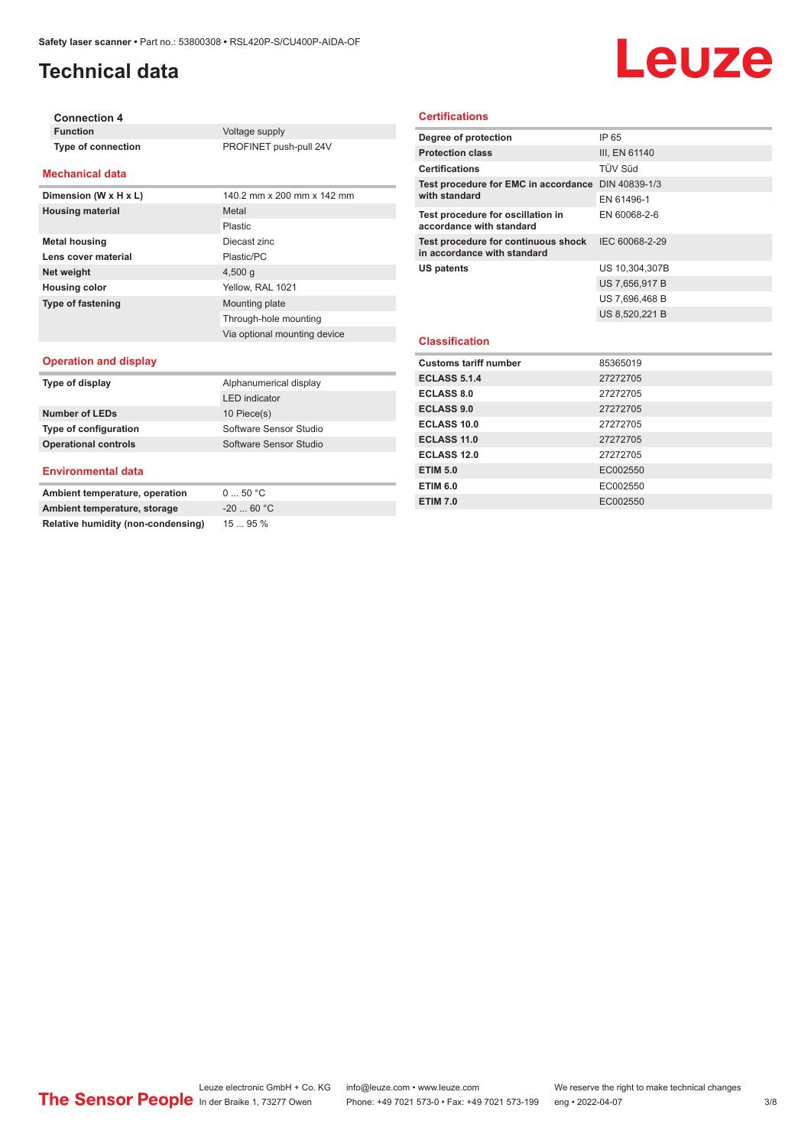## **Technical data**

# Leuze

**Connection 4 Type of connection** PROFINET push-pull 24V

## **Mechanical data**

| Dimension (W x H x L)    | 140.2 mm x 200 mm x 142 mm   |
|--------------------------|------------------------------|
| <b>Housing material</b>  | Metal                        |
|                          | Plastic                      |
| <b>Metal housing</b>     | Diecast zinc                 |
| Lens cover material      | Plastic/PC                   |
| Net weight               | 4,500q                       |
| <b>Housing color</b>     | Yellow, RAL 1021             |
| <b>Type of fastening</b> | Mounting plate               |
|                          | Through-hole mounting        |
|                          | Via optional mounting device |
|                          |                              |

Voltage supply

## **Operation and display**

| Type of display             | Alphanumerical display |
|-----------------------------|------------------------|
|                             | <b>LED</b> indicator   |
| Number of LEDs              | 10 Piece(s)            |
| Type of configuration       | Software Sensor Studio |
| <b>Operational controls</b> | Software Sensor Studio |
|                             |                        |

### **Environmental data**

| Ambient temperature, operation     | 050 °C     |
|------------------------------------|------------|
| Ambient temperature, storage       | $-2060 °C$ |
| Relative humidity (non-condensing) | 1595%      |

## **Certifications**

-

| Degree of protection                                               | IP 65          |
|--------------------------------------------------------------------|----------------|
| <b>Protection class</b>                                            | III. EN 61140  |
| <b>Certifications</b>                                              | <b>TÜV Süd</b> |
| Test procedure for EMC in accordance DIN 40839-1/3                 |                |
| with standard                                                      | FN 61496-1     |
| Test procedure for oscillation in<br>accordance with standard      | EN 60068-2-6   |
| Test procedure for continuous shock<br>in accordance with standard | IEC 60068-2-29 |
| US patents                                                         | US 10.304.307B |
|                                                                    | US 7,656,917 B |
|                                                                    | US 7,696,468 B |
|                                                                    | US 8,520,221 B |
| <b>Classification</b>                                              |                |
| <b>Customs tariff number</b>                                       | 85365019       |
| <b>ECLASS 5.1.4</b>                                                | 27272705       |
| <b>ECLASS 8.0</b>                                                  | 27272705       |
| <b>ECLASS 9.0</b>                                                  | 27272705       |
| ECLASS 10.0                                                        | 27272705       |
| ECLASS 11.0                                                        | 27272705       |
| <b>ECLASS 12.0</b>                                                 | 27272705       |
| <b>ETIM 5.0</b>                                                    | EC002550       |
|                                                                    |                |
| <b>ETIM 6.0</b>                                                    | EC002550       |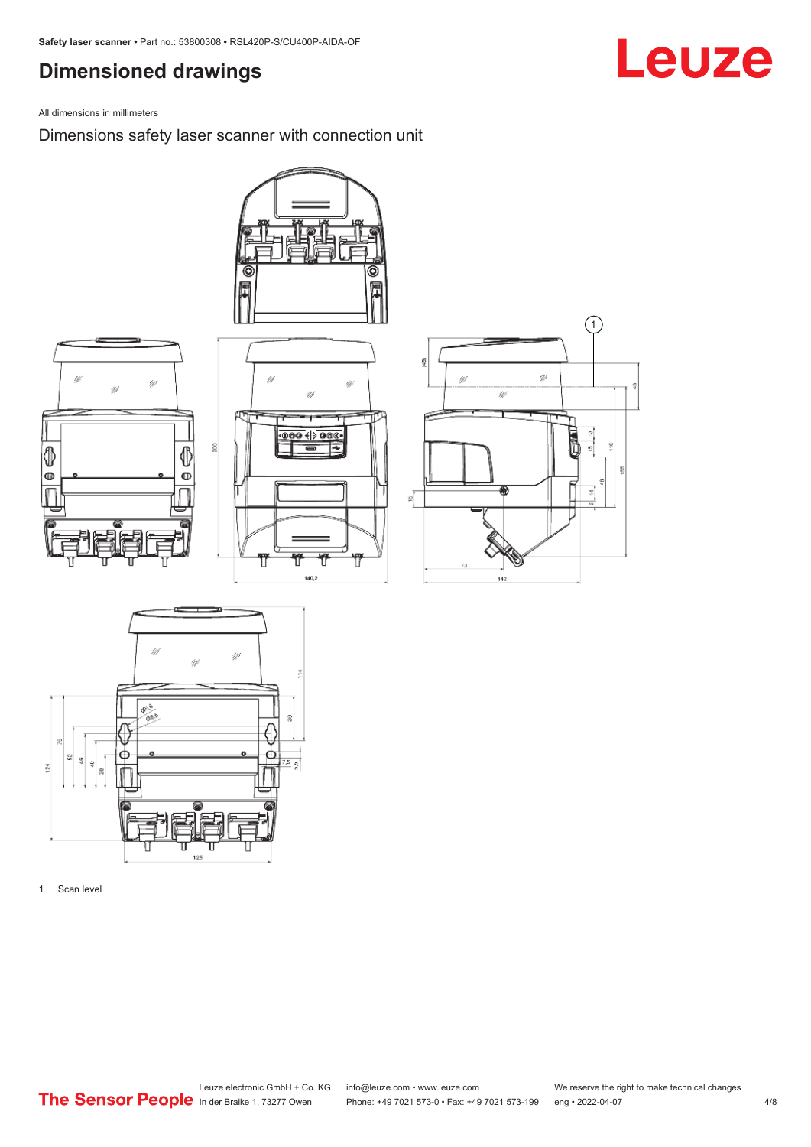# <span id="page-3-0"></span>**Dimensioned drawings**

All dimensions in millimeters

Dimensions safety laser scanner with connection unit

⊚ E

4







1 Scan level

# Leuze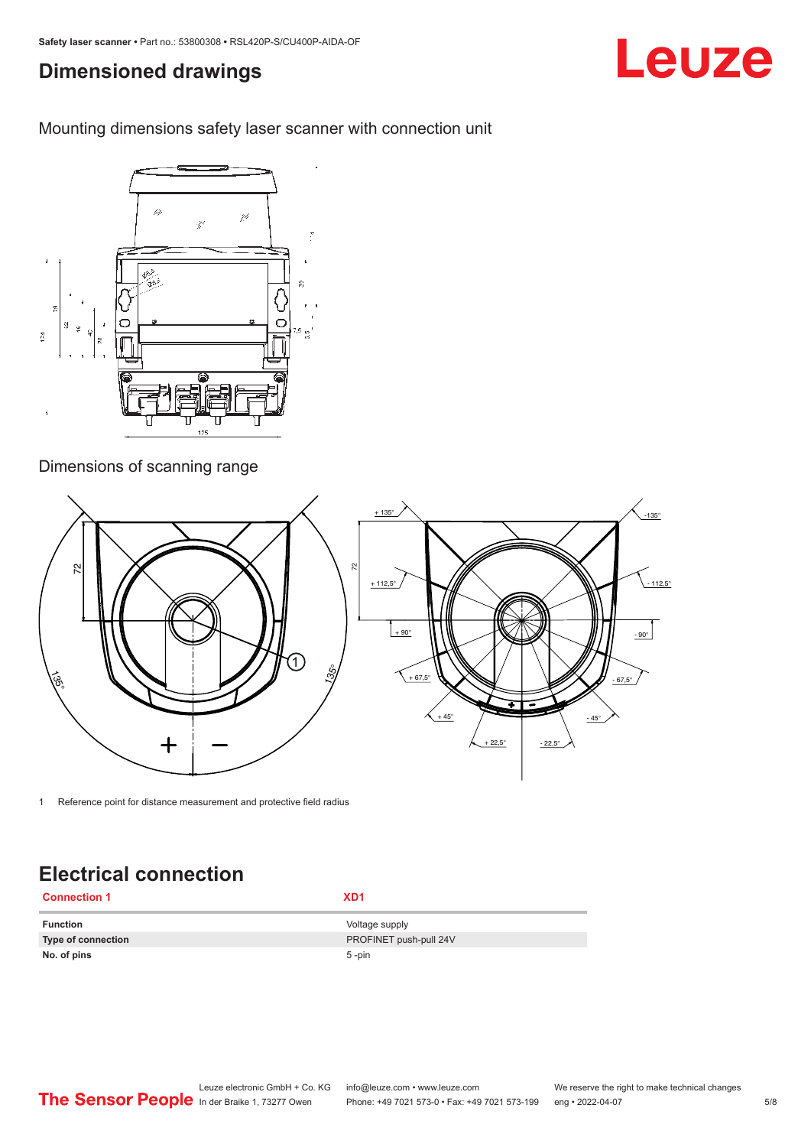## <span id="page-4-0"></span>**Dimensioned drawings**

Mounting dimensions safety laser scanner with connection unit



## Dimensions of scanning range



1 Reference point for distance measurement and protective field radius

# **Electrical connection**

**Connection 1 XD1** 

**No. of pins** 5 -pin

**Function** Voltage supply **Type of connection PROFINET** push-pull 24V Leuze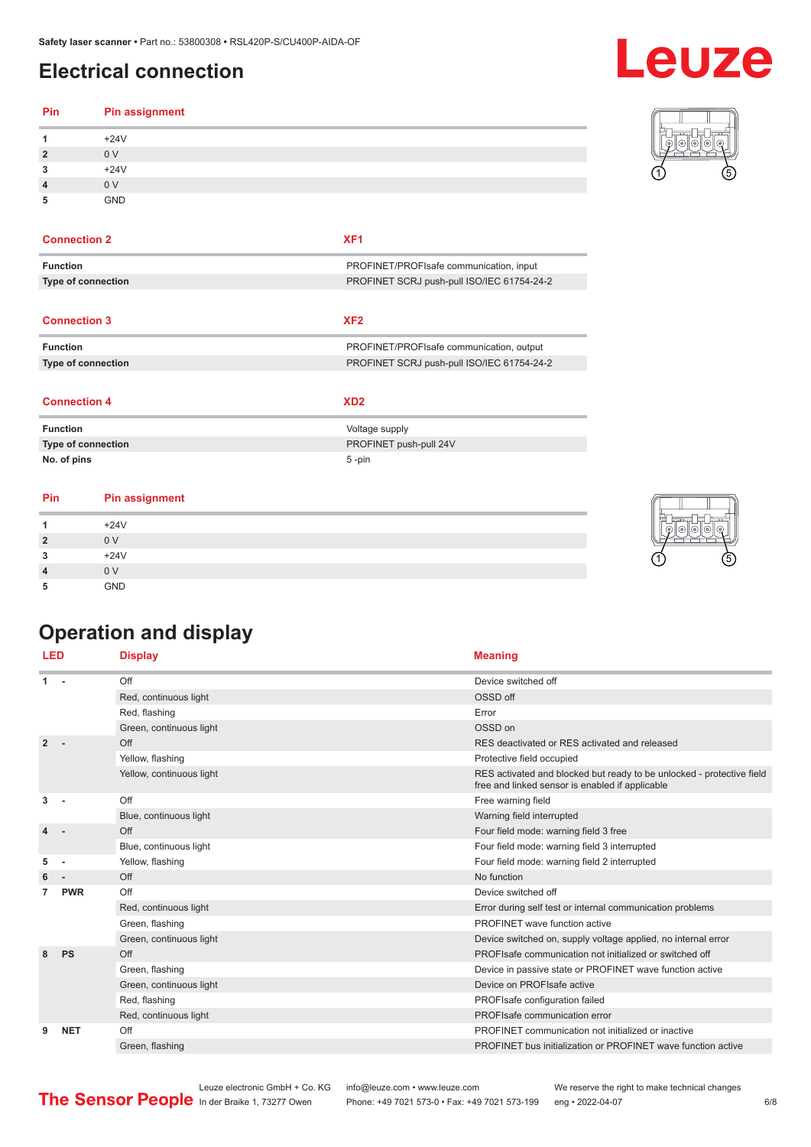## <span id="page-5-0"></span>**Electrical connection**

| Pin            | <b>Pin assignment</b> |
|----------------|-----------------------|
| 1              | $+24V$                |
| $\overline{2}$ | 0 <sub>V</sub>        |
| 3              | $+24V$                |
| $\overline{4}$ | 0 <sub>V</sub>        |
| 5              | <b>GND</b>            |

**Function Function PROFINET/PROFISAFE communication**, input **Type of connection PROFINET SCRJ** push-pull ISO/IEC 61754-24-2

| <b>Connection 2</b> | XF <sub>1</sub> |
|---------------------|-----------------|
|                     |                 |

| <b>Connection 3</b> | XF <sub>2</sub> |
|---------------------|-----------------|

**Function FUNCE PROFINET/PROFISATE communication, output** 

## **Type of connection PROFINET SCRJ push-pull ISO/IEC 61754-24-2**

| <b>Connection 4</b> | XD2                    |
|---------------------|------------------------|
| <b>Function</b>     | Voltage supply         |
| Type of connection  | PROFINET push-pull 24V |
| No. of pins         | $5 - pin$              |

## **Pin Pin assignment**

|                | $+24V$         | ᅩ<br>$-$ |
|----------------|----------------|----------|
| $\overline{2}$ | 0 <sub>V</sub> |          |
| 3              | $+24V$         | ©        |
| $\overline{4}$ | 0 <sub>V</sub> |          |
| 5              | GND            |          |

# **Operation and display**

| <b>LED</b>     |            | <b>Display</b>           | <b>Meaning</b>                                                                                                           |
|----------------|------------|--------------------------|--------------------------------------------------------------------------------------------------------------------------|
| 1              |            | Off                      | Device switched off                                                                                                      |
|                |            | Red, continuous light    | OSSD off                                                                                                                 |
|                |            | Red, flashing            | Error                                                                                                                    |
|                |            | Green, continuous light  | OSSD on                                                                                                                  |
| $\overline{2}$ |            | Off                      | RES deactivated or RES activated and released                                                                            |
|                |            | Yellow, flashing         | Protective field occupied                                                                                                |
|                |            | Yellow, continuous light | RES activated and blocked but ready to be unlocked - protective field<br>free and linked sensor is enabled if applicable |
| 3              |            | Off                      | Free warning field                                                                                                       |
|                |            | Blue, continuous light   | Warning field interrupted                                                                                                |
| 4              |            | Off                      | Four field mode: warning field 3 free                                                                                    |
|                |            | Blue, continuous light   | Four field mode: warning field 3 interrupted                                                                             |
| 5              |            | Yellow, flashing         | Four field mode: warning field 2 interrupted                                                                             |
| 6              |            | Off                      | No function                                                                                                              |
| 7              | <b>PWR</b> | Off                      | Device switched off                                                                                                      |
|                |            | Red, continuous light    | Error during self test or internal communication problems                                                                |
|                |            | Green, flashing          | PROFINET wave function active                                                                                            |
|                |            | Green, continuous light  | Device switched on, supply voltage applied, no internal error                                                            |
| 8              | <b>PS</b>  | Off                      | PROFIsafe communication not initialized or switched off                                                                  |
|                |            | Green, flashing          | Device in passive state or PROFINET wave function active                                                                 |
|                |            | Green, continuous light  | Device on PROFIsafe active                                                                                               |
|                |            | Red, flashing            | PROFIsafe configuration failed                                                                                           |
|                |            | Red, continuous light    | PROFIsafe communication error                                                                                            |
| 9              | <b>NET</b> | Off                      | PROFINET communication not initialized or inactive                                                                       |
|                |            | Green, flashing          | PROFINET bus initialization or PROFINET wave function active                                                             |
|                |            |                          |                                                                                                                          |



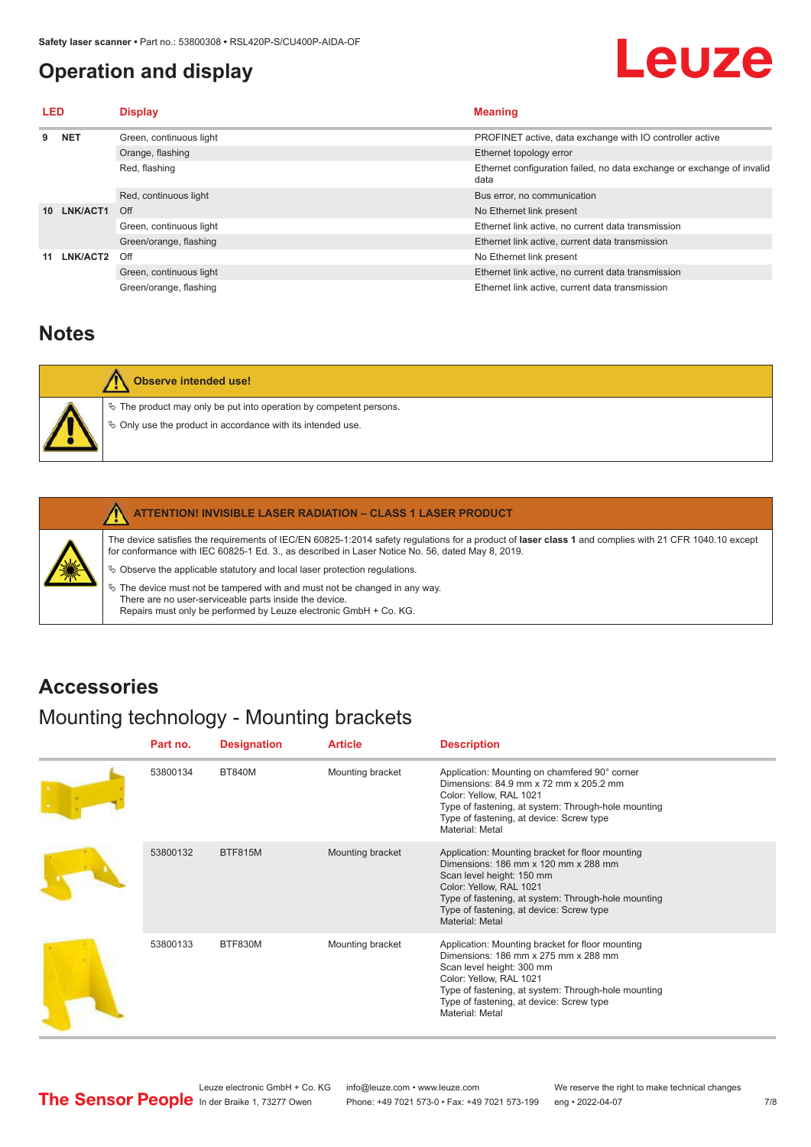## <span id="page-6-0"></span>**Operation and display**

| LED             |            | <b>Display</b>          | <b>Meaning</b>                                                                 |
|-----------------|------------|-------------------------|--------------------------------------------------------------------------------|
|                 | <b>NET</b> | Green, continuous light | PROFINET active, data exchange with IO controller active                       |
|                 |            | Orange, flashing        | Ethernet topology error                                                        |
|                 |            | Red, flashing           | Ethernet configuration failed, no data exchange or exchange of invalid<br>data |
|                 |            | Red, continuous light   | Bus error, no communication                                                    |
| 10 <sup>1</sup> | LNK/ACT1   | Off                     | No Ethernet link present                                                       |
|                 |            | Green, continuous light | Ethernet link active, no current data transmission                             |
|                 |            | Green/orange, flashing  | Ethernet link active, current data transmission                                |
| 11              | LNK/ACT2   | Off                     | No Ethernet link present                                                       |
|                 |            | Green, continuous light | Ethernet link active, no current data transmission                             |
|                 |            | Green/orange, flashing  | Ethernet link active, current data transmission                                |

## **Notes**

| <b>Observe intended use!</b>                                          |
|-----------------------------------------------------------------------|
| $\&$ The product may only be put into operation by competent persons. |
| § Only use the product in accordance with its intended use.           |

## **ATTENTION! INVISIBLE LASER RADIATION – CLASS 1 LASER PRODUCT**

The device satisfies the requirements of IEC/EN 60825-1:2014 safety regulations for a product of **laser class 1** and complies with 21 CFR 1040.10 except for conformance with IEC 60825-1 Ed. 3., as described in Laser Notice No. 56, dated May 8, 2019.

 $\%$  Observe the applicable statutory and local laser protection regulations.

 $\%$  The device must not be tampered with and must not be changed in any way.

There are no user-serviceable parts inside the device.

Repairs must only be performed by Leuze electronic GmbH + Co. KG.

## **Accessories**

# Mounting technology - Mounting brackets

| Part no. | <b>Designation</b> | <b>Article</b>   | <b>Description</b>                                                                                                                                                                                                                                                     |
|----------|--------------------|------------------|------------------------------------------------------------------------------------------------------------------------------------------------------------------------------------------------------------------------------------------------------------------------|
| 53800134 | <b>BT840M</b>      | Mounting bracket | Application: Mounting on chamfered 90° corner<br>Dimensions: 84.9 mm x 72 mm x 205.2 mm<br>Color: Yellow, RAL 1021<br>Type of fastening, at system: Through-hole mounting<br>Type of fastening, at device: Screw type<br>Material: Metal                               |
| 53800132 | <b>BTF815M</b>     | Mounting bracket | Application: Mounting bracket for floor mounting<br>Dimensions: 186 mm x 120 mm x 288 mm<br>Scan level height: 150 mm<br>Color: Yellow, RAL 1021<br>Type of fastening, at system: Through-hole mounting<br>Type of fastening, at device: Screw type<br>Material: Metal |
| 53800133 | BTF830M            | Mounting bracket | Application: Mounting bracket for floor mounting<br>Dimensions: 186 mm x 275 mm x 288 mm<br>Scan level height: 300 mm<br>Color: Yellow, RAL 1021<br>Type of fastening, at system: Through-hole mounting<br>Type of fastening, at device: Screw type<br>Material: Metal |